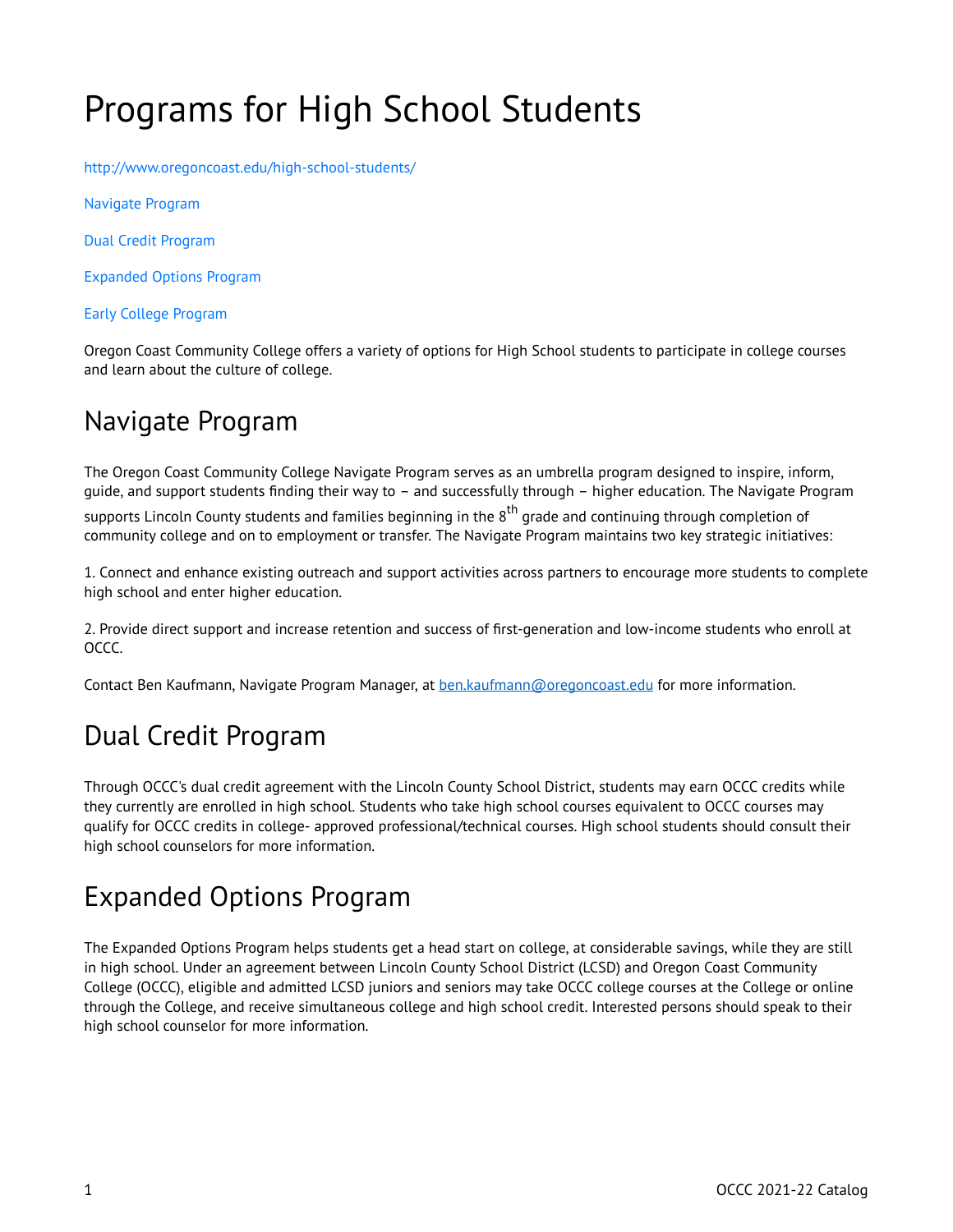# Programs for High School Students

<http://www.oregoncoast.edu/high-school-students/>

[Navigate Program](#page-0-0)

[Dual Credit Program](#page-0-1)

[Expanded Options Program](#page-0-2) 

[Early College Program](#page-1-0)

Oregon Coast Community College offers a variety of options for High School students to participate in college courses and learn about the culture of college.

#### <span id="page-0-0"></span>Navigate Program

The Oregon Coast Community College Navigate Program serves as an umbrella program designed to inspire, inform, guide, and support students finding their way to – and successfully through – higher education. The Navigate Program supports Lincoln County students and families beginning in the 8<sup>th</sup> grade and continuing through completion of community college and on to employment or transfer. The Navigate Program maintains two key strategic initiatives:

1. Connect and enhance existing outreach and support activities across partners to encourage more students to complete high school and enter higher education.

2. Provide direct support and increase retention and success of first-generation and low-income students who enroll at OCCC.

Contact Ben Kaufmann, Navigate Program Manager, at [ben.kaufmann@oregoncoast.edu](mailto:ben.kaufmann@oregoncoast.edu) for more information.

### <span id="page-0-1"></span>Dual Credit Program

Through OCCC's dual credit agreement with the Lincoln County School District, students may earn OCCC credits while they currently are enrolled in high school. Students who take high school courses equivalent to OCCC courses may qualify for OCCC credits in college- approved professional/technical courses. High school students should consult their high school counselors for more information.

### <span id="page-0-2"></span>Expanded Options Program

The Expanded Options Program helps students get a head start on college, at considerable savings, while they are still in high school. Under an agreement between Lincoln County School District (LCSD) and Oregon Coast Community College (OCCC), eligible and admitted LCSD juniors and seniors may take OCCC college courses at the College or online through the College, and receive simultaneous college and high school credit. Interested persons should speak to their high school counselor for more information.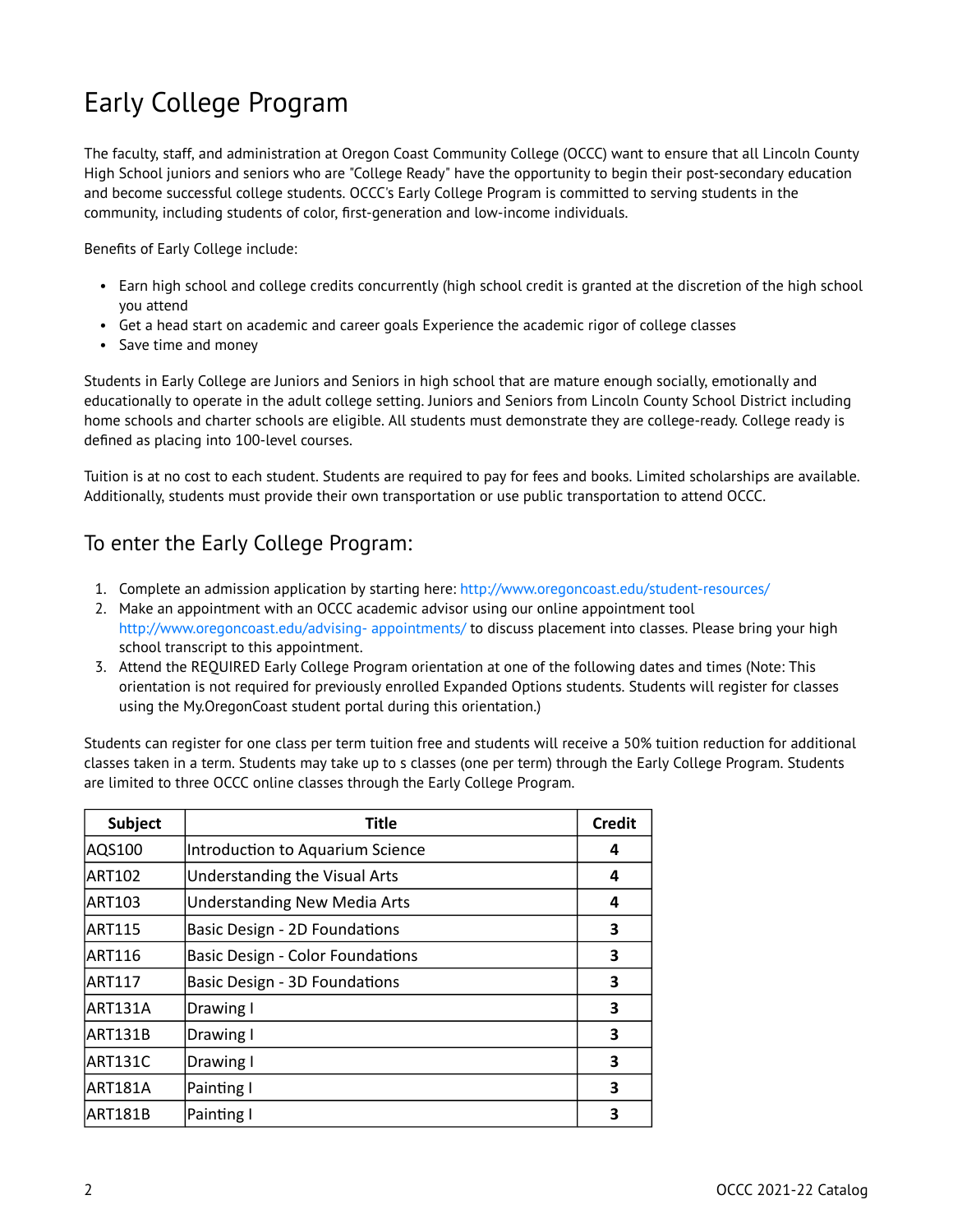## <span id="page-1-0"></span>Early College Program

The faculty, staff, and administration at Oregon Coast Community College (OCCC) want to ensure that all Lincoln County High School juniors and seniors who are "College Ready" have the opportunity to begin their post-secondary education and become successful college students. OCCC's Early College Program is committed to serving students in the community, including students of color, first-generation and low-income individuals.

Benefits of Early College include:

- Earn high school and college credits concurrently (high school credit is granted at the discretion of the high school you attend
- Get a head start on academic and career goals Experience the academic rigor of college classes
- Save time and money

Students in Early College are Juniors and Seniors in high school that are mature enough socially, emotionally and educationally to operate in the adult college setting. Juniors and Seniors from Lincoln County School District including home schools and charter schools are eligible. All students must demonstrate they are college-ready. College ready is defined as placing into 100-level courses.

Tuition is at no cost to each student. Students are required to pay for fees and books. Limited scholarships are available. Additionally, students must provide their own transportation or use public transportation to attend OCCC.

#### To enter the Early College Program:

- 1. Complete an admission application by starting here: http://www.oregoncoast.edu/student-resources/
- 2. Make an appointment with an OCCC academic advisor using our online appointment tool [http://www.oregoncoast.edu/advising- appointments/](http://www.oregoncoast.edu/advising-%20appointments/) to discuss placement into classes. Please bring your high school transcript to this appointment.
- 3. Attend the REQUIRED Early College Program orientation at one of the following dates and times (Note: This orientation is not required for previously enrolled Expanded Options students. Students will register for classes using the My.OregonCoast student portal during this orientation.)

Students can register for one class per term tuition free and students will receive a 50% tuition reduction for additional classes taken in a term. Students may take up to s classes (one per term) through the Early College Program. Students are limited to three OCCC online classes through the Early College Program.

| <b>Subject</b> | <b>Title</b>                            | <b>Credit</b> |
|----------------|-----------------------------------------|---------------|
| AQS100         | Introduction to Aquarium Science        | 4             |
| ART102         | Understanding the Visual Arts           | 4             |
| ART103         | <b>Understanding New Media Arts</b>     | 4             |
| <b>ART115</b>  | Basic Design - 2D Foundations           | 3             |
| ART116         | <b>Basic Design - Color Foundations</b> | 3             |
| ART117         | Basic Design - 3D Foundations           | 3             |
| <b>ART131A</b> | Drawing I                               | 3             |
| <b>ART131B</b> | Drawing I                               | 3             |
| <b>ART131C</b> | Drawing I                               | 3             |
| ART181A        | Painting I                              | 3             |
| <b>ART181B</b> | Painting I                              | 3             |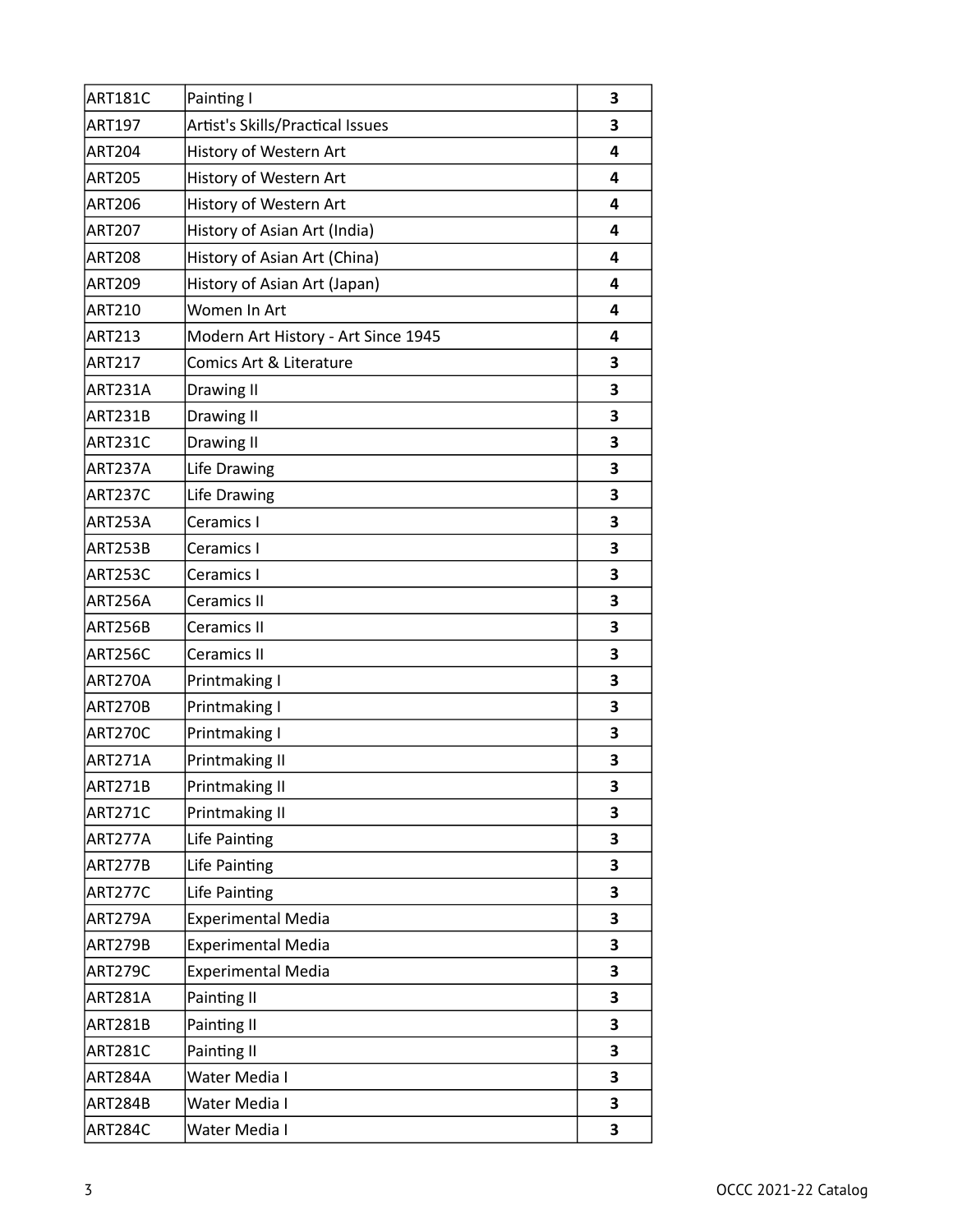| <b>ART181C</b> | Painting I                          | 3                       |
|----------------|-------------------------------------|-------------------------|
| <b>ART197</b>  | Artist's Skills/Practical Issues    | 3                       |
| <b>ART204</b>  | History of Western Art              | 4                       |
| <b>ART205</b>  | History of Western Art              | 4                       |
| <b>ART206</b>  | History of Western Art              | 4                       |
| <b>ART207</b>  | History of Asian Art (India)        | 4                       |
| <b>ART208</b>  | History of Asian Art (China)        | $\overline{\mathbf{a}}$ |
| <b>ART209</b>  | History of Asian Art (Japan)        | 4                       |
| <b>ART210</b>  | Women In Art                        | 4                       |
| <b>ART213</b>  | Modern Art History - Art Since 1945 | 4                       |
| <b>ART217</b>  | Comics Art & Literature             | 3                       |
| <b>ART231A</b> | Drawing II                          | 3                       |
| <b>ART231B</b> | Drawing II                          | 3                       |
| <b>ART231C</b> | Drawing II                          | 3                       |
| ART237A        | Life Drawing                        | 3                       |
| ART237C        | Life Drawing                        | 3                       |
| ART253A        | Ceramics I                          | 3                       |
| <b>ART253B</b> | Ceramics I                          | 3                       |
| ART253C        | Ceramics I                          | 3                       |
| ART256A        | Ceramics II                         | 3                       |
| <b>ART256B</b> | <b>Ceramics II</b>                  | 3                       |
| <b>ART256C</b> | Ceramics II                         | 3                       |
| <b>ART270A</b> | Printmaking I                       | 3                       |
| <b>ART270B</b> | Printmaking I                       | 3                       |
| <b>ART270C</b> | Printmaking I                       | 3                       |
| <b>ART271A</b> | Printmaking II                      | 3                       |
| <b>ART271B</b> | Printmaking II                      | 3                       |
| <b>ART271C</b> | Printmaking II                      | 3                       |
| ART277A        | Life Painting                       | 3                       |
| <b>ART277B</b> | Life Painting                       | 3                       |
| ART277C        | Life Painting                       | 3                       |
| ART279A        | <b>Experimental Media</b>           | 3                       |
| <b>ART279B</b> | <b>Experimental Media</b>           | 3                       |
| ART279C        | <b>Experimental Media</b>           | 3                       |
| ART281A        | Painting II                         | 3                       |
| <b>ART281B</b> | Painting II                         | 3                       |
| <b>ART281C</b> | Painting II                         | 3                       |
| ART284A        | Water Media I                       | 3                       |
| <b>ART284B</b> | Water Media I                       | 3                       |
| ART284C        | Water Media I                       | 3                       |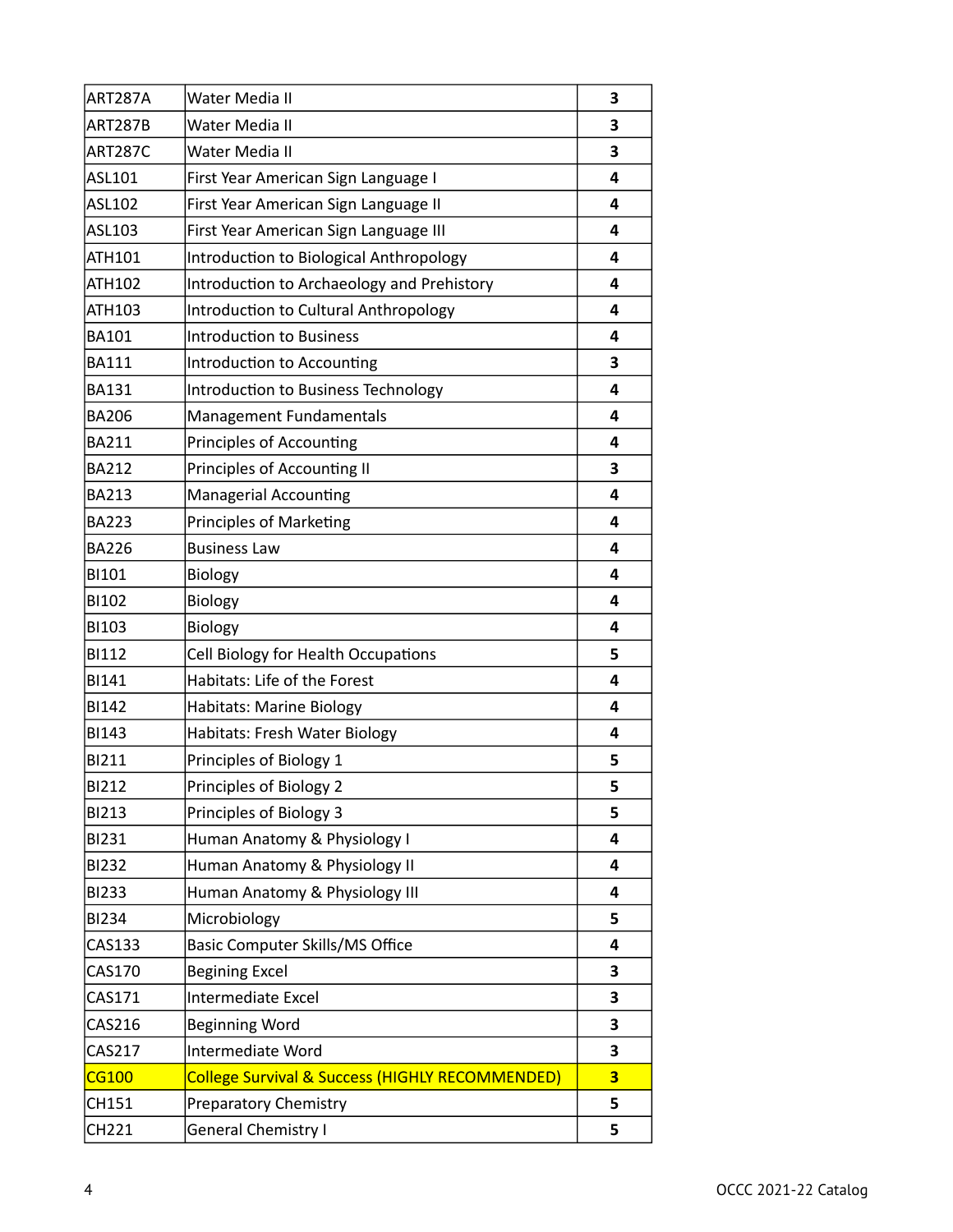| ART287A            | Water Media II                                             | 3 |
|--------------------|------------------------------------------------------------|---|
| <b>ART287B</b>     | Water Media II                                             | 3 |
| ART287C            | Water Media II                                             | 3 |
| ASL101             | First Year American Sign Language I                        | 4 |
| <b>ASL102</b>      | First Year American Sign Language II                       | 4 |
| ASL103             | First Year American Sign Language III                      | 4 |
| ATH101             | Introduction to Biological Anthropology                    | 4 |
| ATH <sub>102</sub> | Introduction to Archaeology and Prehistory                 | 4 |
| ATH103             | <b>Introduction to Cultural Anthropology</b>               | 4 |
| <b>BA101</b>       | <b>Introduction to Business</b>                            | 4 |
| <b>BA111</b>       | Introduction to Accounting                                 | 3 |
| <b>BA131</b>       | Introduction to Business Technology                        | 4 |
| <b>BA206</b>       | Management Fundamentals                                    | 4 |
| <b>BA211</b>       | Principles of Accounting                                   | 4 |
| <b>BA212</b>       | Principles of Accounting II                                | 3 |
| <b>BA213</b>       | <b>Managerial Accounting</b>                               | 4 |
| <b>BA223</b>       | <b>Principles of Marketing</b>                             | 4 |
| <b>BA226</b>       | <b>Business Law</b>                                        | 4 |
| <b>BI101</b>       | Biology                                                    | 4 |
| <b>BI102</b>       | Biology                                                    | 4 |
| <b>BI103</b>       | Biology                                                    | 4 |
| <b>BI112</b>       | Cell Biology for Health Occupations                        | 5 |
| <b>BI141</b>       | Habitats: Life of the Forest                               | 4 |
| <b>BI142</b>       | <b>Habitats: Marine Biology</b>                            | 4 |
| <b>BI143</b>       | Habitats: Fresh Water Biology                              | 4 |
| <b>BI211</b>       | Principles of Biology 1                                    | 5 |
| <b>BI212</b>       | Principles of Biology 2                                    | 5 |
| <b>BI213</b>       | Principles of Biology 3                                    | 5 |
| <b>BI231</b>       | Human Anatomy & Physiology I                               | 4 |
| <b>BI232</b>       | Human Anatomy & Physiology II                              | 4 |
| <b>BI233</b>       | Human Anatomy & Physiology III                             | 4 |
| <b>BI234</b>       | Microbiology                                               | 5 |
| CAS133             | Basic Computer Skills/MS Office                            | 4 |
| CAS170             | <b>Begining Excel</b>                                      | 3 |
| CAS171             | Intermediate Excel                                         | 3 |
| CAS216             | <b>Beginning Word</b>                                      | 3 |
| CAS217             | Intermediate Word                                          | 3 |
| <b>CG100</b>       | <b>College Survival &amp; Success (HIGHLY RECOMMENDED)</b> | 3 |
| CH151              | <b>Preparatory Chemistry</b>                               | 5 |
| CH221              | General Chemistry I                                        | 5 |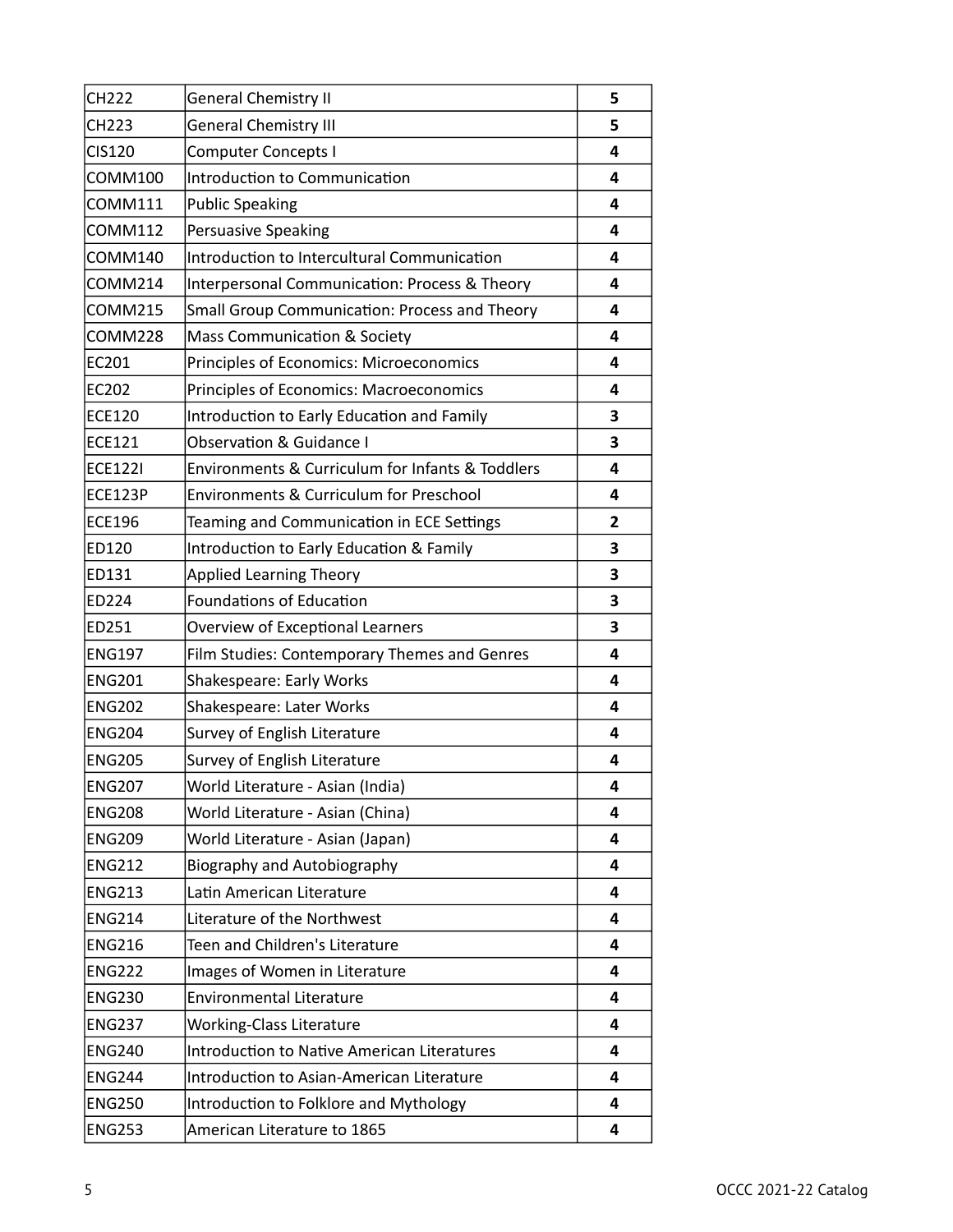| <b>CH222</b>   | <b>General Chemistry II</b>                        | 5 |
|----------------|----------------------------------------------------|---|
| CH223          | <b>General Chemistry III</b>                       | 5 |
| <b>CIS120</b>  | Computer Concepts I                                | 4 |
| <b>COMM100</b> | Introduction to Communication                      | 4 |
| COMM111        | <b>Public Speaking</b>                             | 4 |
| <b>COMM112</b> | Persuasive Speaking                                | 4 |
| COMM140        | Introduction to Intercultural Communication        | 4 |
| <b>COMM214</b> | Interpersonal Communication: Process & Theory      | 4 |
| COMM215        | Small Group Communication: Process and Theory      | 4 |
| COMM228        | <b>Mass Communication &amp; Society</b>            | 4 |
| EC201          | Principles of Economics: Microeconomics            | 4 |
| <b>EC202</b>   | Principles of Economics: Macroeconomics            | 4 |
| <b>ECE120</b>  | Introduction to Early Education and Family         | 3 |
| <b>ECE121</b>  | <b>Observation &amp; Guidance I</b>                | 3 |
| <b>ECE1221</b> | Environments & Curriculum for Infants & Toddlers   | 4 |
| <b>ECE123P</b> | <b>Environments &amp; Curriculum for Preschool</b> | 4 |
| <b>ECE196</b>  | Teaming and Communication in ECE Settings          | 2 |
| ED120          | Introduction to Early Education & Family           | 3 |
| ED131          | <b>Applied Learning Theory</b>                     | 3 |
| ED224          | Foundations of Education                           | 3 |
| ED251          | Overview of Exceptional Learners                   | 3 |
| <b>ENG197</b>  | Film Studies: Contemporary Themes and Genres       | 4 |
| <b>ENG201</b>  | <b>Shakespeare: Early Works</b>                    | 4 |
| <b>ENG202</b>  | Shakespeare: Later Works                           | 4 |
| <b>ENG204</b>  | Survey of English Literature                       | 4 |
| <b>ENG205</b>  | Survey of English Literature                       | 4 |
| <b>ENG207</b>  | World Literature - Asian (India)                   | 4 |
| <b>ENG208</b>  | World Literature - Asian (China)                   | 4 |
| <b>ENG209</b>  | World Literature - Asian (Japan)                   | 4 |
| <b>ENG212</b>  | Biography and Autobiography                        | 4 |
| <b>ENG213</b>  | Latin American Literature                          | 4 |
| <b>ENG214</b>  | Literature of the Northwest                        | 4 |
| <b>ENG216</b>  | Teen and Children's Literature                     | 4 |
| <b>ENG222</b>  | Images of Women in Literature                      | 4 |
| <b>ENG230</b>  | <b>Environmental Literature</b>                    | 4 |
| <b>ENG237</b>  | <b>Working-Class Literature</b>                    | 4 |
| <b>ENG240</b>  | Introduction to Native American Literatures        | 4 |
| <b>ENG244</b>  | Introduction to Asian-American Literature          | 4 |
| <b>ENG250</b>  | Introduction to Folklore and Mythology             | 4 |
| <b>ENG253</b>  | American Literature to 1865                        | 4 |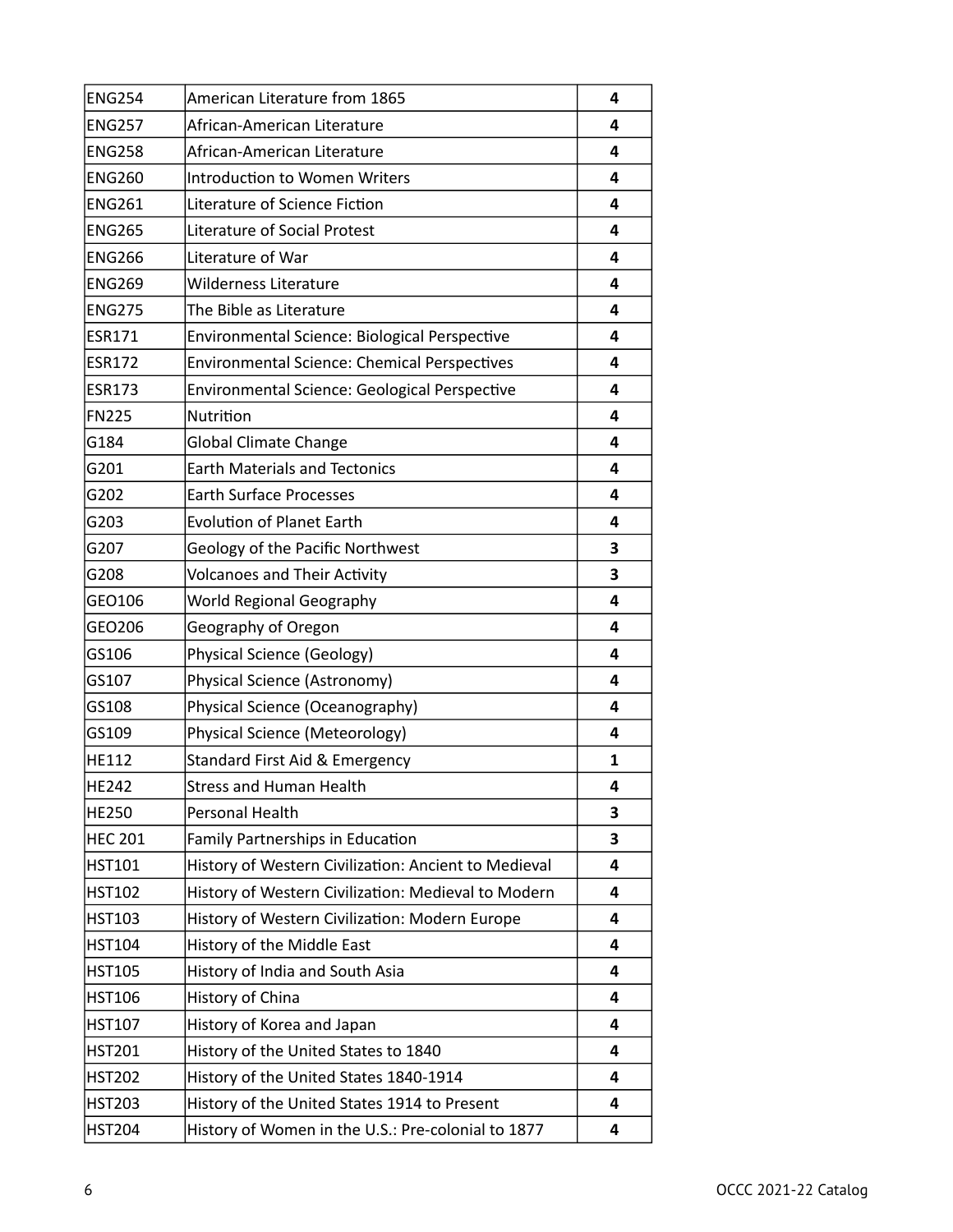| <b>ENG254</b>  | American Literature from 1865                        | 4 |
|----------------|------------------------------------------------------|---|
| <b>ENG257</b>  | African-American Literature                          | 4 |
| <b>ENG258</b>  | African-American Literature                          | 4 |
| <b>ENG260</b>  | <b>Introduction to Women Writers</b>                 | 4 |
| <b>ENG261</b>  | Literature of Science Fiction                        | 4 |
| <b>ENG265</b>  | <b>Literature of Social Protest</b>                  | 4 |
| <b>ENG266</b>  | Literature of War                                    | 4 |
| <b>ENG269</b>  | <b>Wilderness Literature</b>                         | 4 |
| <b>ENG275</b>  | The Bible as Literature                              | 4 |
| <b>ESR171</b>  | Environmental Science: Biological Perspective        | 4 |
| <b>ESR172</b>  | <b>Environmental Science: Chemical Perspectives</b>  | 4 |
| <b>ESR173</b>  | Environmental Science: Geological Perspective        | 4 |
| <b>FN225</b>   | Nutrition                                            | 4 |
| G184           | <b>Global Climate Change</b>                         | 4 |
| G201           | <b>Earth Materials and Tectonics</b>                 | 4 |
| G202           | <b>Earth Surface Processes</b>                       | 4 |
| G203           | <b>Evolution of Planet Earth</b>                     | 4 |
| G207           | Geology of the Pacific Northwest                     | 3 |
| G208           | <b>Volcanoes and Their Activity</b>                  | 3 |
| GEO106         | <b>World Regional Geography</b>                      | 4 |
| GEO206         | Geography of Oregon                                  | 4 |
| GS106          | <b>Physical Science (Geology)</b>                    | 4 |
| GS107          | Physical Science (Astronomy)                         | 4 |
| GS108          | Physical Science (Oceanography)                      | 4 |
| GS109          | <b>Physical Science (Meteorology)</b>                | 4 |
| <b>HE112</b>   | Standard First Aid & Emergency                       | 1 |
| <b>HE242</b>   | Stress and Human Health                              | 4 |
| <b>HE250</b>   | Personal Health                                      | 3 |
| <b>HEC 201</b> | Family Partnerships in Education                     | 3 |
| <b>HST101</b>  | History of Western Civilization: Ancient to Medieval | 4 |
| <b>HST102</b>  | History of Western Civilization: Medieval to Modern  | 4 |
| <b>HST103</b>  | History of Western Civilization: Modern Europe       | 4 |
| <b>HST104</b>  | History of the Middle East                           | 4 |
| <b>HST105</b>  | History of India and South Asia                      | 4 |
| <b>HST106</b>  | History of China                                     | 4 |
| <b>HST107</b>  | History of Korea and Japan                           | 4 |
| <b>HST201</b>  | History of the United States to 1840                 | 4 |
| <b>HST202</b>  | History of the United States 1840-1914               | 4 |
| <b>HST203</b>  | History of the United States 1914 to Present         | 4 |
| <b>HST204</b>  | History of Women in the U.S.: Pre-colonial to 1877   | 4 |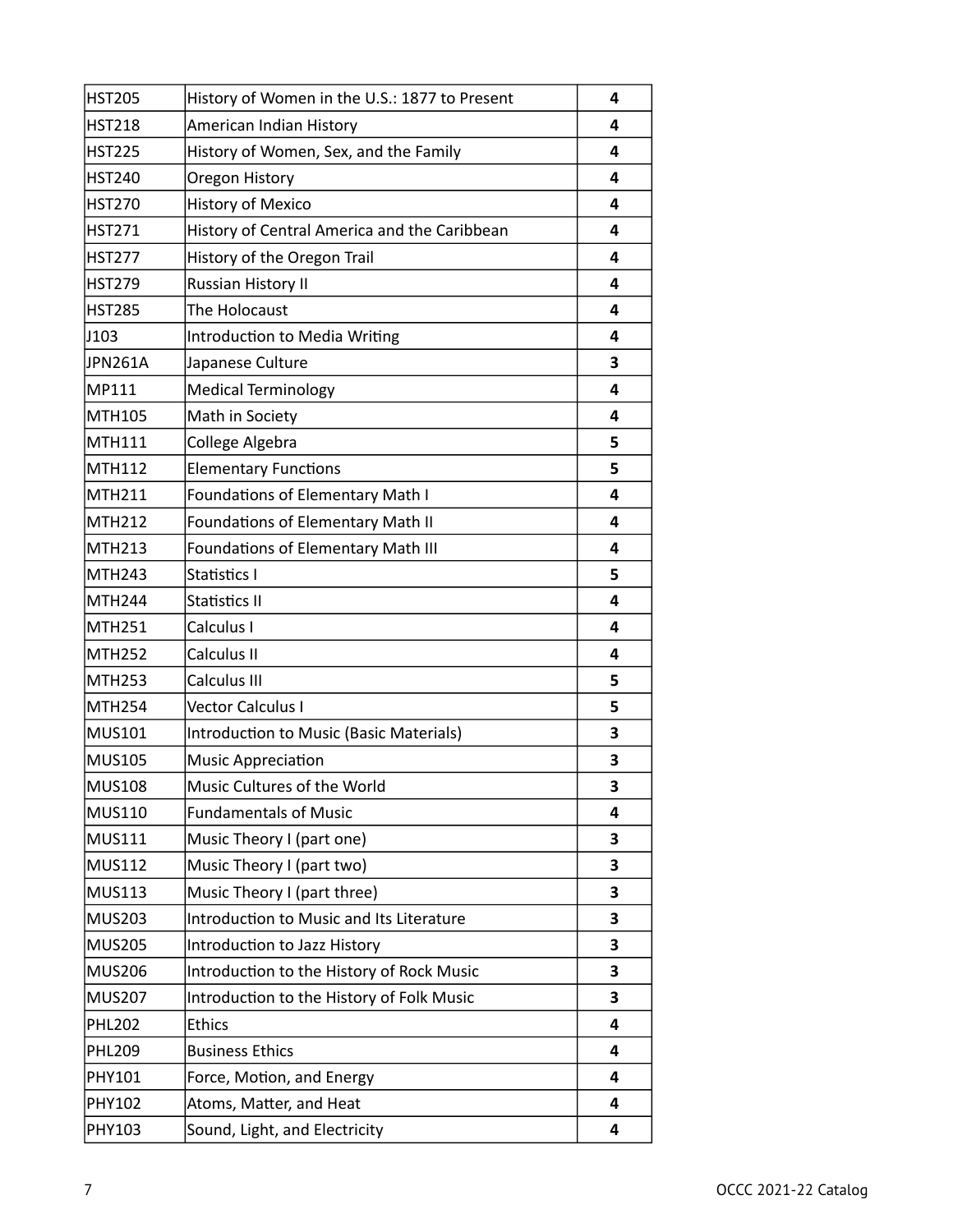| <b>HST205</b>  | History of Women in the U.S.: 1877 to Present  | 4 |
|----------------|------------------------------------------------|---|
| <b>HST218</b>  | American Indian History                        | 4 |
| <b>HST225</b>  | History of Women, Sex, and the Family          | 4 |
| <b>HST240</b>  | Oregon History                                 | 4 |
| <b>HST270</b>  | <b>History of Mexico</b>                       | 4 |
| <b>HST271</b>  | History of Central America and the Caribbean   | 4 |
| <b>HST277</b>  | History of the Oregon Trail                    | 4 |
| <b>HST279</b>  | Russian History II                             | 4 |
| <b>HST285</b>  | The Holocaust                                  | 4 |
| J103           | <b>Introduction to Media Writing</b>           | 4 |
| <b>JPN261A</b> | Japanese Culture                               | 3 |
| MP111          | <b>Medical Terminology</b>                     | 4 |
| <b>MTH105</b>  | Math in Society                                | 4 |
| MTH111         | College Algebra                                | 5 |
| MTH112         | <b>Elementary Functions</b>                    | 5 |
| MTH211         | <b>Foundations of Elementary Math I</b>        | 4 |
| <b>MTH212</b>  | Foundations of Elementary Math II              | 4 |
| MTH213         | <b>Foundations of Elementary Math III</b>      | 4 |
| <b>MTH243</b>  | Statistics I                                   | 5 |
| <b>MTH244</b>  | Statistics II                                  | 4 |
| <b>MTH251</b>  | Calculus I                                     | 4 |
| <b>MTH252</b>  | Calculus II                                    | 4 |
| <b>MTH253</b>  | Calculus III                                   | 5 |
| <b>MTH254</b>  | Vector Calculus I                              | 5 |
| <b>MUS101</b>  | <b>Introduction to Music (Basic Materials)</b> | 3 |
| <b>MUS105</b>  | <b>Music Appreciation</b>                      | 3 |
| <b>MUS108</b>  | Music Cultures of the World                    | 3 |
| <b>MUS110</b>  | <b>Fundamentals of Music</b>                   | 4 |
| <b>MUS111</b>  | Music Theory I (part one)                      | 3 |
| <b>MUS112</b>  | Music Theory I (part two)                      | 3 |
| <b>MUS113</b>  | Music Theory I (part three)                    | 3 |
| <b>MUS203</b>  | Introduction to Music and Its Literature       | 3 |
| <b>MUS205</b>  | Introduction to Jazz History                   | 3 |
| <b>MUS206</b>  | Introduction to the History of Rock Music      | 3 |
| <b>MUS207</b>  | Introduction to the History of Folk Music      | 3 |
| <b>PHL202</b>  | <b>Ethics</b>                                  | 4 |
| <b>PHL209</b>  | <b>Business Ethics</b>                         | 4 |
| PHY101         | Force, Motion, and Energy                      | 4 |
| PHY102         | Atoms, Matter, and Heat                        | 4 |
| PHY103         | Sound, Light, and Electricity                  | 4 |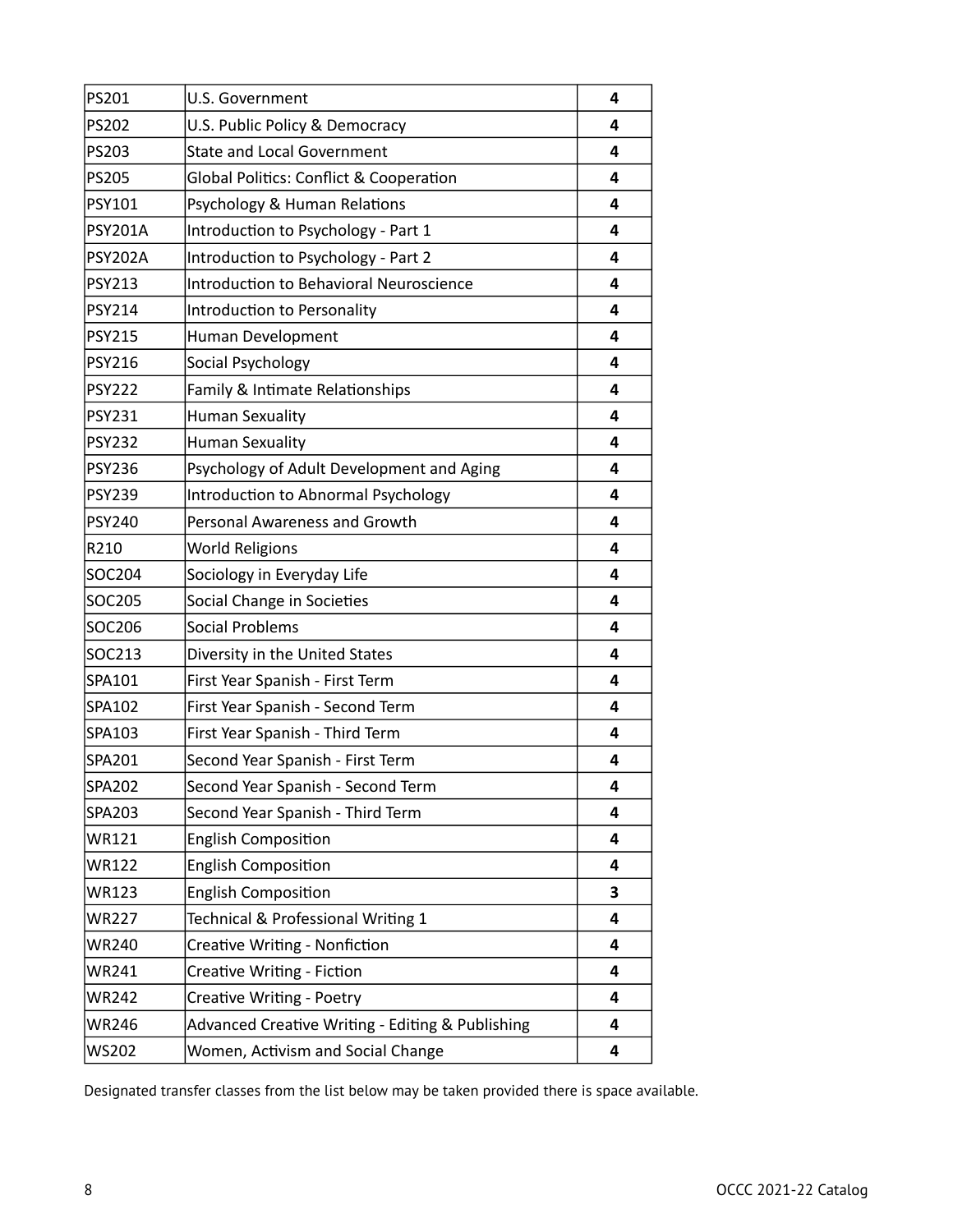| PS201<br>U.S. Government<br>4<br><b>PS202</b><br>U.S. Public Policy & Democracy<br>4<br><b>State and Local Government</b><br>PS203<br>4<br><b>PS205</b><br>Global Politics: Conflict & Cooperation<br>4<br><b>PSY101</b><br>Psychology & Human Relations<br>4<br>Introduction to Psychology - Part 1<br><b>PSY201A</b><br>4<br><b>PSY202A</b><br>Introduction to Psychology - Part 2<br>4<br><b>PSY213</b><br>Introduction to Behavioral Neuroscience<br>4<br><b>PSY214</b><br>Introduction to Personality<br>4<br><b>PSY215</b><br>Human Development<br>4<br><b>PSY216</b><br>Social Psychology<br>4<br><b>PSY222</b><br>Family & Intimate Relationships<br>4<br><b>Human Sexuality</b><br><b>PSY231</b><br>4<br><b>PSY232</b><br><b>Human Sexuality</b><br>4<br><b>PSY236</b><br>Psychology of Adult Development and Aging<br>4<br><b>PSY239</b><br>Introduction to Abnormal Psychology<br>4<br><b>PSY240</b><br>Personal Awareness and Growth<br>4<br>R210<br><b>World Religions</b><br>4<br><b>SOC204</b><br>Sociology in Everyday Life<br>4<br>SOC205<br>Social Change in Societies<br>4<br>SOC206<br><b>Social Problems</b><br>4<br>SOC213<br>Diversity in the United States<br>4<br>SPA101<br>First Year Spanish - First Term<br>4<br>SPA102<br>First Year Spanish - Second Term<br>4<br>First Year Spanish - Third Term<br>SPA103<br>4<br>SPA201<br>Second Year Spanish - First Term<br>4<br>SPA202<br>Second Year Spanish - Second Term<br>4<br>SPA203<br>Second Year Spanish - Third Term<br>4<br><b>WR121</b><br><b>English Composition</b><br>4<br><b>English Composition</b><br><b>WR122</b><br>4<br><b>English Composition</b><br><b>WR123</b><br>3<br>Technical & Professional Writing 1<br><b>WR227</b><br>4<br>Creative Writing - Nonfiction<br><b>WR240</b><br>4<br><b>WR241</b><br>Creative Writing - Fiction<br>4<br>Creative Writing - Poetry<br><b>WR242</b><br>4<br>Advanced Creative Writing - Editing & Publishing<br><b>WR246</b><br>4<br>Women, Activism and Social Change<br><b>WS202</b><br>4 |  |  |
|----------------------------------------------------------------------------------------------------------------------------------------------------------------------------------------------------------------------------------------------------------------------------------------------------------------------------------------------------------------------------------------------------------------------------------------------------------------------------------------------------------------------------------------------------------------------------------------------------------------------------------------------------------------------------------------------------------------------------------------------------------------------------------------------------------------------------------------------------------------------------------------------------------------------------------------------------------------------------------------------------------------------------------------------------------------------------------------------------------------------------------------------------------------------------------------------------------------------------------------------------------------------------------------------------------------------------------------------------------------------------------------------------------------------------------------------------------------------------------------------------------------------------------------------------------------------------------------------------------------------------------------------------------------------------------------------------------------------------------------------------------------------------------------------------------------------------------------------------------------------------------------------------------------------------------------------------------------------------------------------------------------------------|--|--|
|                                                                                                                                                                                                                                                                                                                                                                                                                                                                                                                                                                                                                                                                                                                                                                                                                                                                                                                                                                                                                                                                                                                                                                                                                                                                                                                                                                                                                                                                                                                                                                                                                                                                                                                                                                                                                                                                                                                                                                                                                            |  |  |
|                                                                                                                                                                                                                                                                                                                                                                                                                                                                                                                                                                                                                                                                                                                                                                                                                                                                                                                                                                                                                                                                                                                                                                                                                                                                                                                                                                                                                                                                                                                                                                                                                                                                                                                                                                                                                                                                                                                                                                                                                            |  |  |
|                                                                                                                                                                                                                                                                                                                                                                                                                                                                                                                                                                                                                                                                                                                                                                                                                                                                                                                                                                                                                                                                                                                                                                                                                                                                                                                                                                                                                                                                                                                                                                                                                                                                                                                                                                                                                                                                                                                                                                                                                            |  |  |
|                                                                                                                                                                                                                                                                                                                                                                                                                                                                                                                                                                                                                                                                                                                                                                                                                                                                                                                                                                                                                                                                                                                                                                                                                                                                                                                                                                                                                                                                                                                                                                                                                                                                                                                                                                                                                                                                                                                                                                                                                            |  |  |
|                                                                                                                                                                                                                                                                                                                                                                                                                                                                                                                                                                                                                                                                                                                                                                                                                                                                                                                                                                                                                                                                                                                                                                                                                                                                                                                                                                                                                                                                                                                                                                                                                                                                                                                                                                                                                                                                                                                                                                                                                            |  |  |
|                                                                                                                                                                                                                                                                                                                                                                                                                                                                                                                                                                                                                                                                                                                                                                                                                                                                                                                                                                                                                                                                                                                                                                                                                                                                                                                                                                                                                                                                                                                                                                                                                                                                                                                                                                                                                                                                                                                                                                                                                            |  |  |
|                                                                                                                                                                                                                                                                                                                                                                                                                                                                                                                                                                                                                                                                                                                                                                                                                                                                                                                                                                                                                                                                                                                                                                                                                                                                                                                                                                                                                                                                                                                                                                                                                                                                                                                                                                                                                                                                                                                                                                                                                            |  |  |
|                                                                                                                                                                                                                                                                                                                                                                                                                                                                                                                                                                                                                                                                                                                                                                                                                                                                                                                                                                                                                                                                                                                                                                                                                                                                                                                                                                                                                                                                                                                                                                                                                                                                                                                                                                                                                                                                                                                                                                                                                            |  |  |
|                                                                                                                                                                                                                                                                                                                                                                                                                                                                                                                                                                                                                                                                                                                                                                                                                                                                                                                                                                                                                                                                                                                                                                                                                                                                                                                                                                                                                                                                                                                                                                                                                                                                                                                                                                                                                                                                                                                                                                                                                            |  |  |
|                                                                                                                                                                                                                                                                                                                                                                                                                                                                                                                                                                                                                                                                                                                                                                                                                                                                                                                                                                                                                                                                                                                                                                                                                                                                                                                                                                                                                                                                                                                                                                                                                                                                                                                                                                                                                                                                                                                                                                                                                            |  |  |
|                                                                                                                                                                                                                                                                                                                                                                                                                                                                                                                                                                                                                                                                                                                                                                                                                                                                                                                                                                                                                                                                                                                                                                                                                                                                                                                                                                                                                                                                                                                                                                                                                                                                                                                                                                                                                                                                                                                                                                                                                            |  |  |
|                                                                                                                                                                                                                                                                                                                                                                                                                                                                                                                                                                                                                                                                                                                                                                                                                                                                                                                                                                                                                                                                                                                                                                                                                                                                                                                                                                                                                                                                                                                                                                                                                                                                                                                                                                                                                                                                                                                                                                                                                            |  |  |
|                                                                                                                                                                                                                                                                                                                                                                                                                                                                                                                                                                                                                                                                                                                                                                                                                                                                                                                                                                                                                                                                                                                                                                                                                                                                                                                                                                                                                                                                                                                                                                                                                                                                                                                                                                                                                                                                                                                                                                                                                            |  |  |
|                                                                                                                                                                                                                                                                                                                                                                                                                                                                                                                                                                                                                                                                                                                                                                                                                                                                                                                                                                                                                                                                                                                                                                                                                                                                                                                                                                                                                                                                                                                                                                                                                                                                                                                                                                                                                                                                                                                                                                                                                            |  |  |
|                                                                                                                                                                                                                                                                                                                                                                                                                                                                                                                                                                                                                                                                                                                                                                                                                                                                                                                                                                                                                                                                                                                                                                                                                                                                                                                                                                                                                                                                                                                                                                                                                                                                                                                                                                                                                                                                                                                                                                                                                            |  |  |
|                                                                                                                                                                                                                                                                                                                                                                                                                                                                                                                                                                                                                                                                                                                                                                                                                                                                                                                                                                                                                                                                                                                                                                                                                                                                                                                                                                                                                                                                                                                                                                                                                                                                                                                                                                                                                                                                                                                                                                                                                            |  |  |
|                                                                                                                                                                                                                                                                                                                                                                                                                                                                                                                                                                                                                                                                                                                                                                                                                                                                                                                                                                                                                                                                                                                                                                                                                                                                                                                                                                                                                                                                                                                                                                                                                                                                                                                                                                                                                                                                                                                                                                                                                            |  |  |
|                                                                                                                                                                                                                                                                                                                                                                                                                                                                                                                                                                                                                                                                                                                                                                                                                                                                                                                                                                                                                                                                                                                                                                                                                                                                                                                                                                                                                                                                                                                                                                                                                                                                                                                                                                                                                                                                                                                                                                                                                            |  |  |
|                                                                                                                                                                                                                                                                                                                                                                                                                                                                                                                                                                                                                                                                                                                                                                                                                                                                                                                                                                                                                                                                                                                                                                                                                                                                                                                                                                                                                                                                                                                                                                                                                                                                                                                                                                                                                                                                                                                                                                                                                            |  |  |
|                                                                                                                                                                                                                                                                                                                                                                                                                                                                                                                                                                                                                                                                                                                                                                                                                                                                                                                                                                                                                                                                                                                                                                                                                                                                                                                                                                                                                                                                                                                                                                                                                                                                                                                                                                                                                                                                                                                                                                                                                            |  |  |
|                                                                                                                                                                                                                                                                                                                                                                                                                                                                                                                                                                                                                                                                                                                                                                                                                                                                                                                                                                                                                                                                                                                                                                                                                                                                                                                                                                                                                                                                                                                                                                                                                                                                                                                                                                                                                                                                                                                                                                                                                            |  |  |
|                                                                                                                                                                                                                                                                                                                                                                                                                                                                                                                                                                                                                                                                                                                                                                                                                                                                                                                                                                                                                                                                                                                                                                                                                                                                                                                                                                                                                                                                                                                                                                                                                                                                                                                                                                                                                                                                                                                                                                                                                            |  |  |
|                                                                                                                                                                                                                                                                                                                                                                                                                                                                                                                                                                                                                                                                                                                                                                                                                                                                                                                                                                                                                                                                                                                                                                                                                                                                                                                                                                                                                                                                                                                                                                                                                                                                                                                                                                                                                                                                                                                                                                                                                            |  |  |
|                                                                                                                                                                                                                                                                                                                                                                                                                                                                                                                                                                                                                                                                                                                                                                                                                                                                                                                                                                                                                                                                                                                                                                                                                                                                                                                                                                                                                                                                                                                                                                                                                                                                                                                                                                                                                                                                                                                                                                                                                            |  |  |
|                                                                                                                                                                                                                                                                                                                                                                                                                                                                                                                                                                                                                                                                                                                                                                                                                                                                                                                                                                                                                                                                                                                                                                                                                                                                                                                                                                                                                                                                                                                                                                                                                                                                                                                                                                                                                                                                                                                                                                                                                            |  |  |
|                                                                                                                                                                                                                                                                                                                                                                                                                                                                                                                                                                                                                                                                                                                                                                                                                                                                                                                                                                                                                                                                                                                                                                                                                                                                                                                                                                                                                                                                                                                                                                                                                                                                                                                                                                                                                                                                                                                                                                                                                            |  |  |
|                                                                                                                                                                                                                                                                                                                                                                                                                                                                                                                                                                                                                                                                                                                                                                                                                                                                                                                                                                                                                                                                                                                                                                                                                                                                                                                                                                                                                                                                                                                                                                                                                                                                                                                                                                                                                                                                                                                                                                                                                            |  |  |
|                                                                                                                                                                                                                                                                                                                                                                                                                                                                                                                                                                                                                                                                                                                                                                                                                                                                                                                                                                                                                                                                                                                                                                                                                                                                                                                                                                                                                                                                                                                                                                                                                                                                                                                                                                                                                                                                                                                                                                                                                            |  |  |
|                                                                                                                                                                                                                                                                                                                                                                                                                                                                                                                                                                                                                                                                                                                                                                                                                                                                                                                                                                                                                                                                                                                                                                                                                                                                                                                                                                                                                                                                                                                                                                                                                                                                                                                                                                                                                                                                                                                                                                                                                            |  |  |
|                                                                                                                                                                                                                                                                                                                                                                                                                                                                                                                                                                                                                                                                                                                                                                                                                                                                                                                                                                                                                                                                                                                                                                                                                                                                                                                                                                                                                                                                                                                                                                                                                                                                                                                                                                                                                                                                                                                                                                                                                            |  |  |
|                                                                                                                                                                                                                                                                                                                                                                                                                                                                                                                                                                                                                                                                                                                                                                                                                                                                                                                                                                                                                                                                                                                                                                                                                                                                                                                                                                                                                                                                                                                                                                                                                                                                                                                                                                                                                                                                                                                                                                                                                            |  |  |
|                                                                                                                                                                                                                                                                                                                                                                                                                                                                                                                                                                                                                                                                                                                                                                                                                                                                                                                                                                                                                                                                                                                                                                                                                                                                                                                                                                                                                                                                                                                                                                                                                                                                                                                                                                                                                                                                                                                                                                                                                            |  |  |
|                                                                                                                                                                                                                                                                                                                                                                                                                                                                                                                                                                                                                                                                                                                                                                                                                                                                                                                                                                                                                                                                                                                                                                                                                                                                                                                                                                                                                                                                                                                                                                                                                                                                                                                                                                                                                                                                                                                                                                                                                            |  |  |
|                                                                                                                                                                                                                                                                                                                                                                                                                                                                                                                                                                                                                                                                                                                                                                                                                                                                                                                                                                                                                                                                                                                                                                                                                                                                                                                                                                                                                                                                                                                                                                                                                                                                                                                                                                                                                                                                                                                                                                                                                            |  |  |
|                                                                                                                                                                                                                                                                                                                                                                                                                                                                                                                                                                                                                                                                                                                                                                                                                                                                                                                                                                                                                                                                                                                                                                                                                                                                                                                                                                                                                                                                                                                                                                                                                                                                                                                                                                                                                                                                                                                                                                                                                            |  |  |
|                                                                                                                                                                                                                                                                                                                                                                                                                                                                                                                                                                                                                                                                                                                                                                                                                                                                                                                                                                                                                                                                                                                                                                                                                                                                                                                                                                                                                                                                                                                                                                                                                                                                                                                                                                                                                                                                                                                                                                                                                            |  |  |
|                                                                                                                                                                                                                                                                                                                                                                                                                                                                                                                                                                                                                                                                                                                                                                                                                                                                                                                                                                                                                                                                                                                                                                                                                                                                                                                                                                                                                                                                                                                                                                                                                                                                                                                                                                                                                                                                                                                                                                                                                            |  |  |

Designated transfer classes from the list below may be taken provided there is space available.